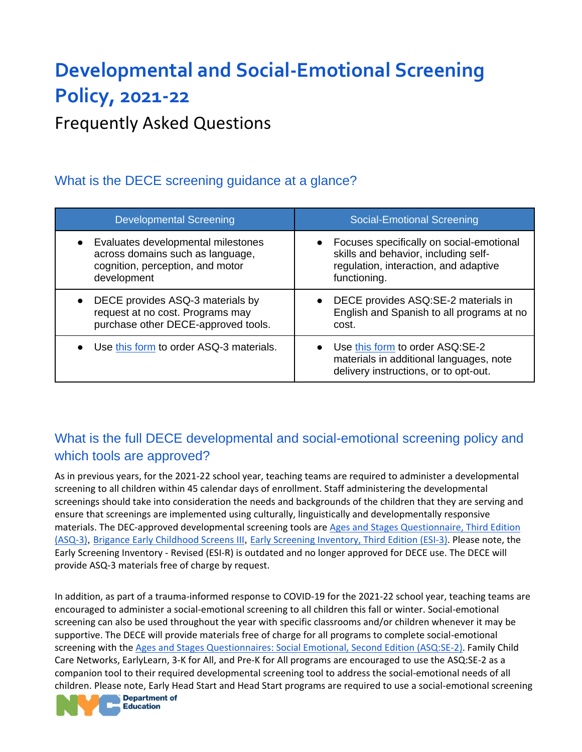# **Developmental and Social-Emotional Screening Policy, 2021-22**

Frequently Asked Questions

# What is the DECE screening guidance at a glance?

| <b>Developmental Screening</b>          | <b>Social-Emotional Screening</b>                                                                                     |
|-----------------------------------------|-----------------------------------------------------------------------------------------------------------------------|
| Evaluates developmental milestones      | Focuses specifically on social-emotional                                                                              |
| across domains such as language,        | skills and behavior, including self-                                                                                  |
| cognition, perception, and motor        | regulation, interaction, and adaptive                                                                                 |
| development                             | functioning.                                                                                                          |
| DECE provides ASQ-3 materials by        | • DECE provides ASQ:SE-2 materials in                                                                                 |
| request at no cost. Programs may        | English and Spanish to all programs at no                                                                             |
| purchase other DECE-approved tools.     | cost.                                                                                                                 |
| Use this form to order ASQ-3 materials. | • Use this form to order ASQ:SE-2<br>materials in additional languages, note<br>delivery instructions, or to opt-out. |

# What is the full DECE developmental and social-emotional screening policy and which tools are approved?

As in previous years, for the 2021-22 school year, teaching teams are required to administer a developmental screening to all children within 45 calendar days of enrollment. Staff administering the developmental screenings should take into consideration the needs and backgrounds of the children that they are serving and ensure that screenings are implemented using culturally, linguistically and developmentally responsive materials. The DEC-approved developmental screening tools are [Ages and Stages Questionnaire, Third Edition](https://brookespublishing.com/product/asq-3/)  [\(ASQ-3\)](https://brookespublishing.com/product/asq-3/), [Brigance Early Childhood Screens III](https://www.curriculumassociates.com/), [Early Screening Inventory, Third Edition \(ESI-3\).](https://www.pearsonassessments.com/store/usassessments/en/Store/Professional-Assessments/Academic-Learning/Brief/The-Early-Screening-Inventory-%7C-Third-Edition/p/100001986.html) Please note, the Early Screening Inventory - Revised (ESI-R) is outdated and no longer approved for DECE use. The DECE will provide ASQ-3 materials free of charge by request.

In addition, as part of a trauma-informed response to COVID-19 for the 2021-22 school year, teaching teams are encouraged to administer a social-emotional screening to all children this fall or winter. Social-emotional screening can also be used throughout the year with specific classrooms and/or children whenever it may be supportive. The DECE will provide materials free of charge for all programs to complete social-emotional screening with the [Ages and Stages Questionnaires: Social Emotional, Second Edition \(ASQ:SE-2\).](https://agesandstages.com/products-pricing/asqse-2/) Family Child Care Networks, EarlyLearn, 3-K for All, and Pre-K for All programs are encouraged to use the ASQ:SE-2 as a companion tool to their required developmental screening tool to address the social-emotional needs of all children. Please note, Early Head Start and Head Start programs are required to use a social-emotional screening

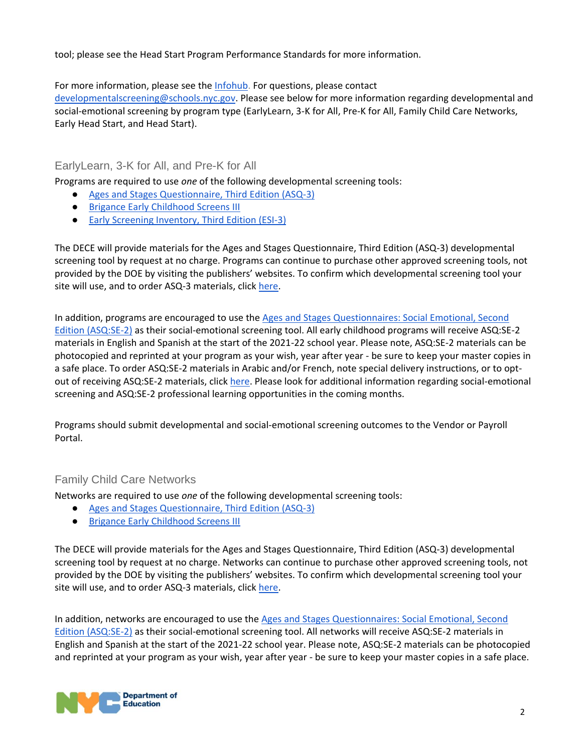tool; please see the Head Start Program Performance Standards for more information.

For more information, please see the **Infohub**. For questions, please contact

[developmentalscreening@schools.nyc.gov.](mailto:developmentalscreening@schools.nyc.gov) Please see below for more information regarding developmental and social-emotional screening by program type (EarlyLearn, 3-K for All, Pre-K for All, Family Child Care Networks, Early Head Start, and Head Start).

#### EarlyLearn, 3-K for All, and Pre-K for All

Programs are required to use *one* of the following developmental screening tools:

- [Ages and Stages Questionnaire, Third Edition \(ASQ-3\)](https://brookespublishing.com/product/asq-3/)
- [Brigance Early Childhood Screens III](https://www.curriculumassociates.com/)
- [Early Screening Inventory, Third Edition \(ESI-3\)](https://www.pearsonassessments.com/store/usassessments/en/Store/Professional-Assessments/Academic-Learning/Brief/The-Early-Screening-Inventory-%7C-Third-Edition/p/100001986.html)

The DECE will provide materials for the Ages and Stages Questionnaire, Third Edition (ASQ-3) developmental screening tool by request at no charge. Programs can continue to purchase other approved screening tools, not provided by the DOE by visiting the publishers' websites. To confirm which developmental screening tool your site will use, and to order ASQ-3 materials, click [here.](https://prek4all.az1.qualtrics.com/jfe/form/SV_6LOy1WNwAEfQ5ro)

In addition, programs are encouraged to use the [Ages and Stages Questionnaires: Social Emotional, Second](https://agesandstages.com/products-pricing/asqse-2/)  [Edition \(ASQ:SE-2\)](https://agesandstages.com/products-pricing/asqse-2/) as their social-emotional screening tool. All early childhood programs will receive ASQ:SE-2 materials in English and Spanish at the start of the 2021-22 school year. Please note, ASQ:SE-2 materials can be photocopied and reprinted at your program as your wish, year after year - be sure to keep your master copies in a safe place. To order ASQ:SE-2 materials in Arabic and/or French, note special delivery instructions, or to optout of receiving ASQ:SE-2 materials, click [here.](https://prek4all.az1.qualtrics.com/jfe/form/SV_a3meGpRbgrUN6Au) Please look for additional information regarding social-emotional screening and ASQ:SE-2 professional learning opportunities in the coming months.

Programs should submit developmental and social-emotional screening outcomes to the Vendor or Payroll Portal.

#### Family Child Care Networks

Networks are required to use *one* of the following developmental screening tools:

- [Ages and Stages Questionnaire, Third Edition \(ASQ-3\)](https://brookespublishing.com/product/asq-3/)
- [Brigance Early Childhood Screens III](https://www.curriculumassociates.com/)

The DECE will provide materials for the Ages and Stages Questionnaire, Third Edition (ASQ-3) developmental screening tool by request at no charge. Networks can continue to purchase other approved screening tools, not provided by the DOE by visiting the publishers' websites. To confirm which developmental screening tool your site will use, and to order ASQ-3 materials, click [here.](https://prek4all.az1.qualtrics.com/jfe/form/SV_6LOy1WNwAEfQ5ro)

In addition, networks are encouraged to use the [Ages and Stages Questionnaires: Social Emotional, Second](https://agesandstages.com/products-pricing/asqse-2/)  [Edition \(ASQ:SE-2\)](https://agesandstages.com/products-pricing/asqse-2/) as their social-emotional screening tool. All networks will receive ASQ:SE-2 materials in English and Spanish at the start of the 2021-22 school year. Please note, ASQ:SE-2 materials can be photocopied and reprinted at your program as your wish, year after year - be sure to keep your master copies in a safe place.

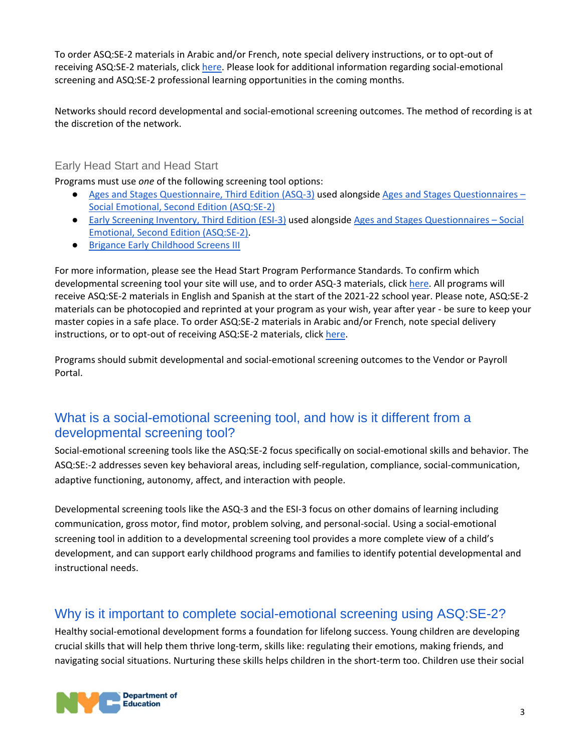To order ASQ:SE-2 materials in Arabic and/or French, note special delivery instructions, or to opt-out of receiving ASQ:SE-2 materials, click [here.](https://prek4all.az1.qualtrics.com/jfe/form/SV_a3meGpRbgrUN6Au) Please look for additional information regarding social-emotional screening and ASQ:SE-2 professional learning opportunities in the coming months.

Networks should record developmental and social-emotional screening outcomes. The method of recording is at the discretion of the network.

#### Early Head Start and Head Start

Programs must use *one* of the following screening tool options:

- [Ages and Stages Questionnaire, Third Edition \(ASQ-3\)](https://brookespublishing.com/product/asq-3/) used alongsid[e Ages and Stages Questionnaires](https://agesandstages.com/products-pricing/asqse-2/)  [Social Emotional, Second Edition \(ASQ:SE-2\)](https://agesandstages.com/products-pricing/asqse-2/)
- [Early Screening Inventory, Third Edition \(ESI-3\)](https://www.pearsonassessments.com/store/usassessments/en/Store/Professional-Assessments/Academic-Learning/Brief/The-Early-Screening-Inventory-%7C-Third-Edition/p/100001986.html) used alongsid[e Ages and Stages Questionnaires](https://agesandstages.com/products-pricing/asqse-2/)  Social [Emotional, Second Edition \(ASQ:SE-2\).](https://agesandstages.com/products-pricing/asqse-2/)
- [Brigance Early Childhood Screens III](https://www.curriculumassociates.com/)

For more information, please see the Head Start Program Performance Standards. To confirm which developmental screening tool your site will use, and to order ASQ-3 materials, clic[k here.](https://prek4all.az1.qualtrics.com/jfe/form/SV_6LOy1WNwAEfQ5ro) All programs will receive ASQ:SE-2 materials in English and Spanish at the start of the 2021-22 school year. Please note, ASQ:SE-2 materials can be photocopied and reprinted at your program as your wish, year after year - be sure to keep your master copies in a safe place. To order ASQ:SE-2 materials in Arabic and/or French, note special delivery instructions, or to opt-out of receiving ASQ:SE-2 materials, click [here.](https://prek4all.az1.qualtrics.com/jfe/form/SV_a3meGpRbgrUN6Au)

Programs should submit developmental and social-emotional screening outcomes to the Vendor or Payroll Portal.

## What is a social-emotional screening tool, and how is it different from a developmental screening tool?

Social-emotional screening tools like the ASQ:SE-2 focus specifically on social-emotional skills and behavior. The ASQ:SE:-2 addresses seven key behavioral areas, including self-regulation, compliance, social-communication, adaptive functioning, autonomy, affect, and interaction with people.

Developmental screening tools like the ASQ-3 and the ESI-3 focus on other domains of learning including communication, gross motor, find motor, problem solving, and personal-social. Using a social-emotional screening tool in addition to a developmental screening tool provides a more complete view of a child's development, and can support early childhood programs and families to identify potential developmental and instructional needs.

# Why is it important to complete social-emotional screening using ASQ:SE-2?

Healthy social-emotional development forms a foundation for lifelong success. Young children are developing crucial skills that will help them thrive long-term, skills like: regulating their emotions, making friends, and navigating social situations. Nurturing these skills helps children in the short-term too. Children use their social

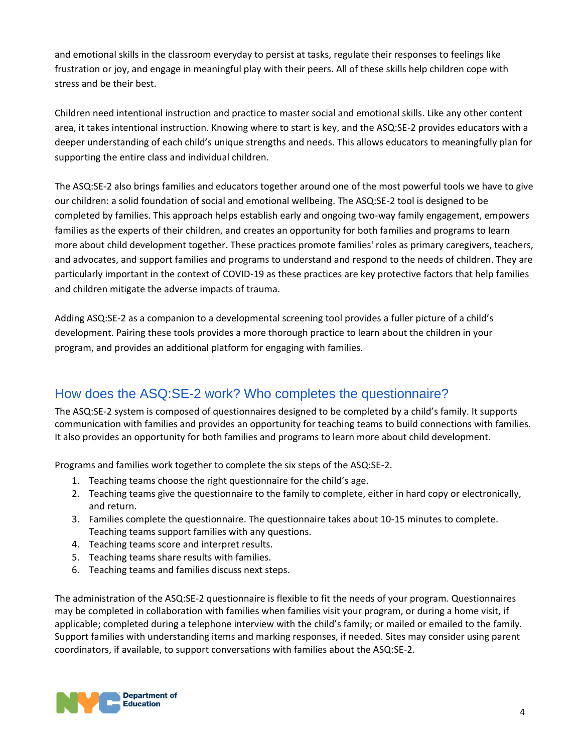and emotional skills in the classroom everyday to persist at tasks, regulate their responses to feelings like frustration or joy, and engage in meaningful play with their peers. All of these skills help children cope with stress and be their best.

Children need intentional instruction and practice to master social and emotional skills. Like any other content area, it takes intentional instruction. Knowing where to start is key, and the ASQ:SE-2 provides educators with a deeper understanding of each child's unique strengths and needs. This allows educators to meaningfully plan for supporting the entire class and individual children.

The ASQ:SE-2 also brings families and educators together around one of the most powerful tools we have to give our children: a solid foundation of social and emotional wellbeing. The ASQ:SE-2 tool is designed to be completed by families. This approach helps establish early and ongoing two-way family engagement, empowers families as the experts of their children, and creates an opportunity for both families and programs to learn more about child development together. These practices promote families' roles as primary caregivers, teachers, and advocates, and support families and programs to understand and respond to the needs of children. They are particularly important in the context of COVID-19 as these practices are key protective factors that help families and children mitigate the adverse impacts of trauma.

Adding ASQ:SE-2 as a companion to a developmental screening tool provides a fuller picture of a child's development. Pairing these tools provides a more thorough practice to learn about the children in your program, and provides an additional platform for engaging with families.

# How does the ASQ:SE-2 work? Who completes the questionnaire?

The ASQ:SE-2 system is composed of questionnaires designed to be completed by a child's family. It supports communication with families and provides an opportunity for teaching teams to build connections with families. It also provides an opportunity for both families and programs to learn more about child development.

Programs and families work together to complete the six steps of the ASQ:SE-2.

- 1. Teaching teams choose the right questionnaire for the child's age.
- 2. Teaching teams give the questionnaire to the family to complete, either in hard copy or electronically, and return.
- 3. Families complete the questionnaire. The questionnaire takes about 10-15 minutes to complete. Teaching teams support families with any questions.
- 4. Teaching teams score and interpret results.
- 5. Teaching teams share results with families.
- 6. Teaching teams and families discuss next steps.

The administration of the ASQ:SE-2 questionnaire is flexible to fit the needs of your program. Questionnaires may be completed in collaboration with families when families visit your program, or during a home visit, if applicable; completed during a telephone interview with the child's family; or mailed or emailed to the family. Support families with understanding items and marking responses, if needed. Sites may consider using parent coordinators, if available, to support conversations with families about the ASQ:SE-2.

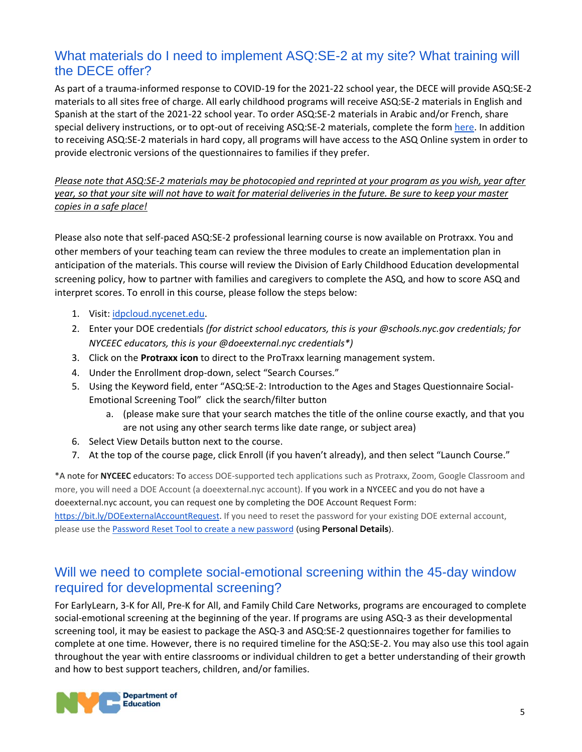## What materials do I need to implement ASQ:SE-2 at my site? What training will the DECE offer?

As part of a trauma-informed response to COVID-19 for the 2021-22 school year, the DECE will provide ASQ:SE-2 materials to all sites free of charge. All early childhood programs will receive ASQ:SE-2 materials in English and Spanish at the start of the 2021-22 school year. To order ASQ:SE-2 materials in Arabic and/or French, share special delivery instructions, or to opt-out of receiving ASQ:SE-2 materials, complete the form [here.](https://prek4all.az1.qualtrics.com/jfe/form/SV_a3meGpRbgrUN6Au) In addition to receiving ASQ:SE-2 materials in hard copy, all programs will have access to the ASQ Online system in order to provide electronic versions of the questionnaires to families if they prefer.

*Please note that ASQ:SE-2 materials may be photocopied and reprinted at your program as you wish, year after year, so that your site will not have to wait for material deliveries in the future. Be sure to keep your master copies in a safe place!*

Please also note that self-paced ASQ:SE-2 professional learning course is now available on Protraxx. You and other members of your teaching team can review the three modules to create an implementation plan in anticipation of the materials. This course will review the Division of Early Childhood Education developmental screening policy, how to partner with families and caregivers to complete the ASQ, and how to score ASQ and interpret scores. To enroll in this course, please follow the steps below:

- 1. Visit: [idpcloud.nycenet.edu.](http://idpcloud.nycenet.edu/)
- 2. Enter your DOE credentials *(for district school educators, this is your @schools.nyc.gov credentials; for NYCEEC educators, this is your @doeexternal.nyc credentials\*)*
- 3. Click on the **Protraxx icon** to direct to the ProTraxx learning management system.
- 4. Under the Enrollment drop-down, select "Search Courses."
- 5. Using the Keyword field, enter "ASQ:SE-2: Introduction to the Ages and Stages Questionnaire Social-Emotional Screening Tool" click the search/filter button
	- a. (please make sure that your search matches the title of the online course exactly, and that you are not using any other search terms like date range, or subject area)
- 6. Select View Details button next to the course.
- 7. At the top of the course page, click Enroll (if you haven't already), and then select "Launch Course."

\*A note for **NYCEEC** educators: To access DOE-supported tech applications such as Protraxx, Zoom, Google Classroom and more, you will need a DOE Account (a doeexternal.nyc account). If you work in a NYCEEC and you do not have a doeexternal.nyc account, you can request one by completing the DOE Account Request Form:

[https://bit.ly/DOEexternalAccountRequest.](https://bit.ly/DOEexternalAccountRequest) If you need to reset the password for your existing DOE external account, please use th[e Password Reset Tool to create a new password](https://idm.nycenet.edu/externalss/index.html) (using **Personal Details**).

## Will we need to complete social-emotional screening within the 45-day window required for developmental screening?

For EarlyLearn, 3-K for All, Pre-K for All, and Family Child Care Networks, programs are encouraged to complete social-emotional screening at the beginning of the year. If programs are using ASQ-3 as their developmental screening tool, it may be easiest to package the ASQ-3 and ASQ:SE-2 questionnaires together for families to complete at one time. However, there is no required timeline for the ASQ:SE-2. You may also use this tool again throughout the year with entire classrooms or individual children to get a better understanding of their growth and how to best support teachers, children, and/or families.